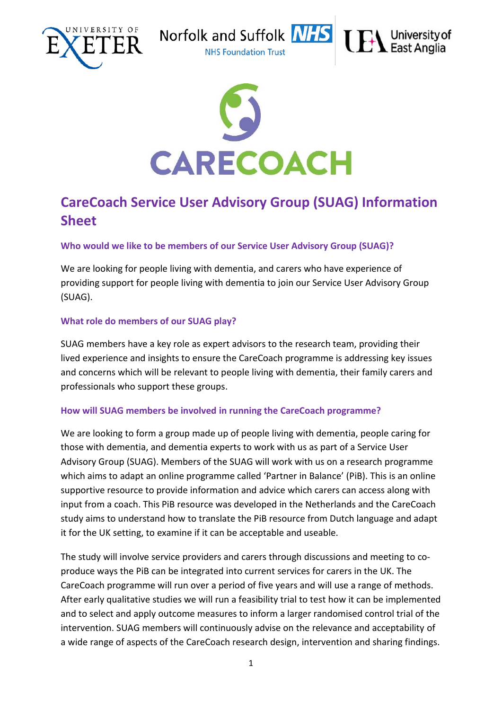





# **CareCoach Service User Advisory Group (SUAG) Information Sheet**

# **Who would we like to be members of our Service User Advisory Group (SUAG)?**

We are looking for people living with dementia, and carers who have experience of providing support for people living with dementia to join our Service User Advisory Group (SUAG).

# **What role do members of our SUAG play?**

SUAG members have a key role as expert advisors to the research team, providing their lived experience and insights to ensure the CareCoach programme is addressing key issues and concerns which will be relevant to people living with dementia, their family carers and professionals who support these groups.

# **How will SUAG members be involved in running the CareCoach programme?**

We are looking to form a group made up of people living with dementia, people caring for those with dementia, and dementia experts to work with us as part of a Service User Advisory Group (SUAG). Members of the SUAG will work with us on a research programme which aims to adapt an online programme called 'Partner in Balance' (PiB). This is an online supportive resource to provide information and advice which carers can access along with input from a coach. This PiB resource was developed in the Netherlands and the CareCoach study aims to understand how to translate the PiB resource from Dutch language and adapt it for the UK setting, to examine if it can be acceptable and useable.

The study will involve service providers and carers through discussions and meeting to coproduce ways the PiB can be integrated into current services for carers in the UK. The CareCoach programme will run over a period of five years and will use a range of methods. After early qualitative studies we will run a feasibility trial to test how it can be implemented and to select and apply outcome measures to inform a larger randomised control trial of the intervention. SUAG members will continuously advise on the relevance and acceptability of a wide range of aspects of the CareCoach research design, intervention and sharing findings.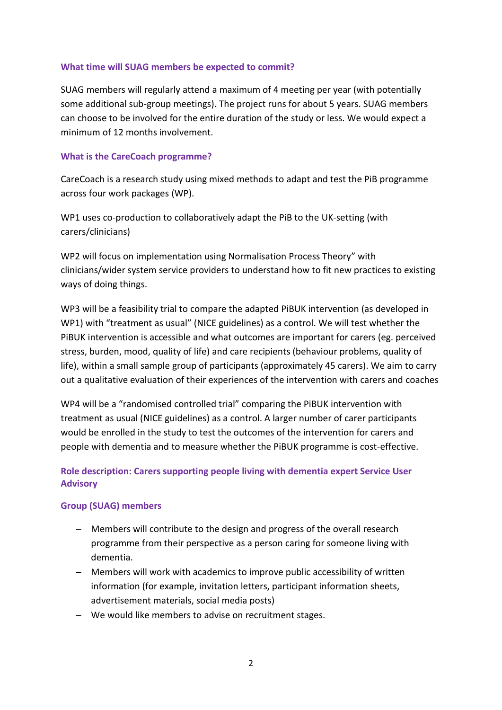#### **What time will SUAG members be expected to commit?**

SUAG members will regularly attend a maximum of 4 meeting per year (with potentially some additional sub-group meetings). The project runs for about 5 years. SUAG members can choose to be involved for the entire duration of the study or less. We would expect a minimum of 12 months involvement.

#### **What is the CareCoach programme?**

CareCoach is a research study using mixed methods to adapt and test the PiB programme across four work packages (WP).

WP1 uses co-production to collaboratively adapt the PiB to the UK-setting (with carers/clinicians)

WP2 will focus on implementation using Normalisation Process Theory" with clinicians/wider system service providers to understand how to fit new practices to existing ways of doing things.

WP3 will be a feasibility trial to compare the adapted PiBUK intervention (as developed in WP1) with "treatment as usual" (NICE guidelines) as a control. We will test whether the PiBUK intervention is accessible and what outcomes are important for carers (eg. perceived stress, burden, mood, quality of life) and care recipients (behaviour problems, quality of life), within a small sample group of participants (approximately 45 carers). We aim to carry out a qualitative evaluation of their experiences of the intervention with carers and coaches

WP4 will be a "randomised controlled trial" comparing the PiBUK intervention with treatment as usual (NICE guidelines) as a control. A larger number of carer participants would be enrolled in the study to test the outcomes of the intervention for carers and people with dementia and to measure whether the PiBUK programme is cost-effective.

# **Role description: Carers supporting people living with dementia expert Service User Advisory**

# **Group (SUAG) members**

- − Members will contribute to the design and progress of the overall research programme from their perspective as a person caring for someone living with dementia.
- − Members will work with academics to improve public accessibility of written information (for example, invitation letters, participant information sheets, advertisement materials, social media posts)
- − We would like members to advise on recruitment stages.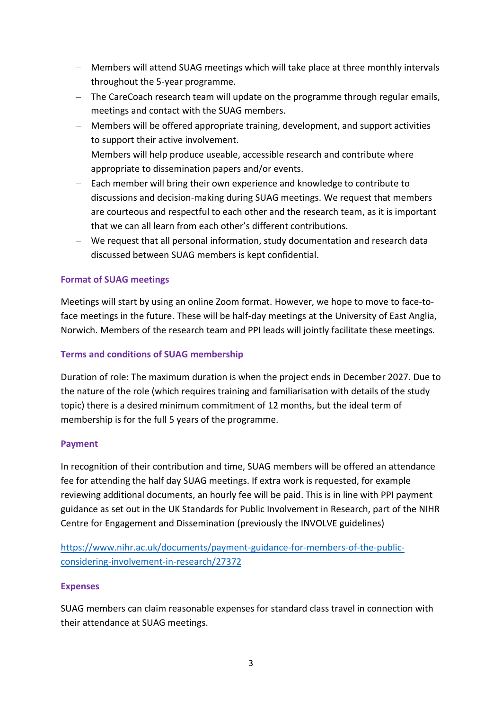- − Members will attend SUAG meetings which will take place at three monthly intervals throughout the 5-year programme.
- − The CareCoach research team will update on the programme through regular emails, meetings and contact with the SUAG members.
- − Members will be offered appropriate training, development, and support activities to support their active involvement.
- − Members will help produce useable, accessible research and contribute where appropriate to dissemination papers and/or events.
- − Each member will bring their own experience and knowledge to contribute to discussions and decision-making during SUAG meetings. We request that members are courteous and respectful to each other and the research team, as it is important that we can all learn from each other's different contributions.
- − We request that all personal information, study documentation and research data discussed between SUAG members is kept confidential.

# **Format of SUAG meetings**

Meetings will start by using an online Zoom format. However, we hope to move to face-toface meetings in the future. These will be half-day meetings at the University of East Anglia, Norwich. Members of the research team and PPI leads will jointly facilitate these meetings.

# **Terms and conditions of SUAG membership**

Duration of role: The maximum duration is when the project ends in December 2027. Due to the nature of the role (which requires training and familiarisation with details of the study topic) there is a desired minimum commitment of 12 months, but the ideal term of membership is for the full 5 years of the programme.

# **Payment**

In recognition of their contribution and time, SUAG members will be offered an attendance fee for attending the half day SUAG meetings. If extra work is requested, for example reviewing additional documents, an hourly fee will be paid. This is in line with PPI payment guidance as set out in the UK Standards for Public Involvement in Research, part of the NIHR Centre for Engagement and Dissemination (previously the INVOLVE guidelines)

[https://www.nihr.ac.uk/documents/payment-guidance-for-members-of-the-public](https://www.nihr.ac.uk/documents/payment-guidance-for-members-of-the-public-considering-involvement-in-research/27372)[considering-involvement-in-research/27372](https://www.nihr.ac.uk/documents/payment-guidance-for-members-of-the-public-considering-involvement-in-research/27372)

# **Expenses**

SUAG members can claim reasonable expenses for standard class travel in connection with their attendance at SUAG meetings.